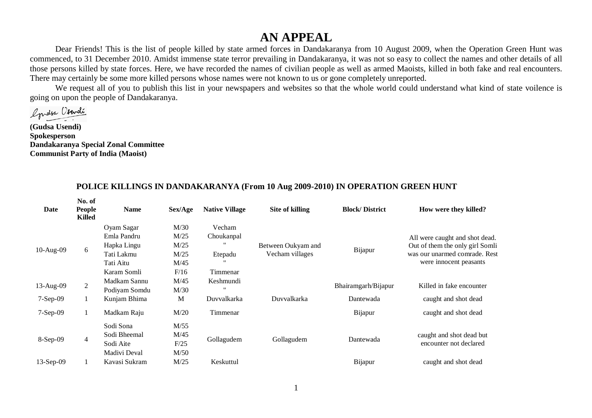## **AN APPEAL**

Dear Friends! This is the list of people killed by state armed forces in Dandakaranya from 10 August 2009, when the Operation Green Hunt was commenced, to 31 December 2010. Amidst immense state terror prevailing in Dandakaranya, it was not so easy to collect the names and other details of all those persons killed by state forces. Here, we have recorded the names of civilian people as well as armed Maoists, killed in both fake and real encounters. There may certainly be some more killed persons whose names were not known to us or gone completely unreported.

We request all of you to publish this list in your newspapers and websites so that the whole world could understand what kind of state voilence is going on upon the people of Dandakaranya.

Grassa Osendi

**(Gudsa Usendi) Spokesperson Dandakaranya Special Zonal Committee Communist Party of India (Maoist)**

| Date        | No. of<br>People<br><b>Killed</b> | <b>Name</b>   | Sex/Age | <b>Native Village</b> | Site of killing    | <b>Block/District</b> | How were they killed?           |
|-------------|-----------------------------------|---------------|---------|-----------------------|--------------------|-----------------------|---------------------------------|
|             |                                   | Oyam Sagar    | M/30    | Vecham                |                    |                       |                                 |
|             |                                   | Emla Pandru   | M/25    | Choukanpal            |                    | Bijapur               | All were caught and shot dead.  |
| 10-Aug-09   | 6                                 | Hapka Lingu   | M/25    |                       | Between Oukyam and |                       | Out of them the only girl Somli |
|             |                                   | Tati Lakmu    | M/25    | Etepadu               | Vecham villages    |                       | was our unarmed comrade. Rest   |
|             |                                   | Tati Aitu     | M/45    |                       |                    |                       | were innocent peasants          |
|             |                                   | Karam Somli   | F/16    | Timmenar              |                    |                       |                                 |
|             | $\overline{2}$                    | Madkam Sannu  | M/45    | Keshmundi             |                    |                       | Killed in fake encounter        |
| 13-Aug-09   |                                   | Podiyam Somdu | M/30    | $^{\prime\prime}$     |                    | Bhairamgarh/Bijapur   |                                 |
| 7-Sep-09    | 1                                 | Kunjam Bhima  | M       | Duvvalkarka           | Duvvalkarka        | Dantewada             | caught and shot dead            |
| $7-Sep-09$  | 1                                 | Madkam Raju   | M/20    | Timmenar              |                    | Bijapur               | caught and shot dead            |
|             |                                   | Sodi Sona     | M/55    |                       |                    |                       |                                 |
| 8-Sep-09    |                                   | Sodi Bheemal  | M/45    |                       |                    | Dantewada             | caught and shot dead but        |
|             | 4                                 | Sodi Aite     | F/25    | Gollagudem            | Gollagudem         |                       | encounter not declared          |
|             |                                   | Madivi Deval  | M/50    |                       |                    |                       |                                 |
| $13-Sep-09$ | 1                                 | Kavasi Sukram | M/25    | Keskuttul             |                    | Bijapur               | caught and shot dead            |

## **POLICE KILLINGS IN DANDAKARANYA (From 10 Aug 2009-2010) IN OPERATION GREEN HUNT**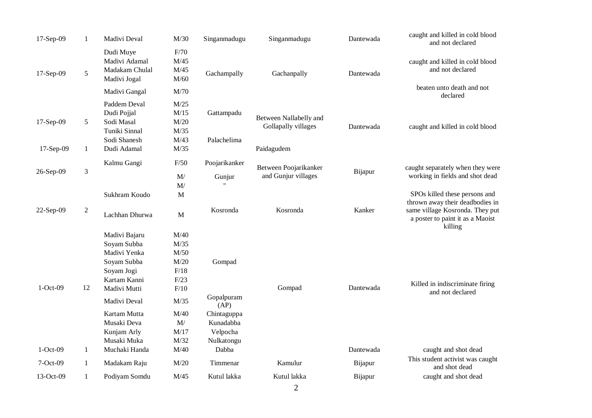| 17-Sep-09  | $\mathbf{1}$   | Madivi Deval                                                                                              | M/30                                                 | Singanmadugu                                       | Singanmadugu                                  | Dantewada | caught and killed in cold blood<br>and not declared                                                               |  |  |
|------------|----------------|-----------------------------------------------------------------------------------------------------------|------------------------------------------------------|----------------------------------------------------|-----------------------------------------------|-----------|-------------------------------------------------------------------------------------------------------------------|--|--|
| 17-Sep-09  | 5              | Dudi Muye<br>Madivi Adamal<br>Madakam Chulal<br>Madivi Jogal                                              | F/70<br>M/45<br>M/45<br>M/60                         | Gachampally                                        | Gachanpally                                   | Dantewada | caught and killed in cold blood<br>and not declared<br>beaten unto death and not                                  |  |  |
|            |                | Madivi Gangal                                                                                             | M/70                                                 |                                                    |                                               |           | declared                                                                                                          |  |  |
| 17-Sep-09  | 5              | Paddem Deval<br>Dudi Pojjal<br>Sodi Masal<br>Tuniki Sinnal                                                | M/25<br>M/15<br>M/20<br>M/35                         | Gattampadu                                         | Between Nallabelly and<br>Gollapally villages | Dantewada | caught and killed in cold blood                                                                                   |  |  |
| 17-Sep-09  | $\mathbf{1}$   | Sodi Shanesh<br>Dudi Adamal                                                                               | M/43<br>M/35                                         | Palachelima                                        | Paidagudem                                    |           |                                                                                                                   |  |  |
| 26-Sep-09  | 3              | Kalmu Gangi                                                                                               | F/50<br>$\mathbf{M}/% \mathbf{M}$<br>M/              | Poojarikanker<br>Gunjur                            | Between Poojarikanker<br>and Gunjur villages  | Bijapur   | caught separately when they were<br>working in fields and shot dead                                               |  |  |
|            |                | Sukhram Koudo                                                                                             | $\mathbf M$                                          |                                                    |                                               |           | SPOs killed these persons and                                                                                     |  |  |
| 22-Sep-09  | $\mathfrak{2}$ | Lachhan Dhurwa                                                                                            | $\mathbf{M}$                                         | Kosronda                                           | Kosronda                                      | Kanker    | thrown away their deadbodies in<br>same village Kosronda. They put<br>a poster to paint it as a Maoist<br>killing |  |  |
| $1-Oct-09$ | 12             | Madivi Bajaru<br>Soyam Subba<br>Madivi Yenka<br>Soyam Subba<br>Soyam Jogi<br>Kartam Kanni<br>Madivi Mutti | M/40<br>M/35<br>M/50<br>M/20<br>F/18<br>F/23<br>F/10 | Gompad                                             | Gompad                                        | Dantewada | Killed in indiscriminate firing<br>and not declared                                                               |  |  |
|            |                | Madivi Deval                                                                                              | M/35                                                 | Gopalpuram<br>(AP)                                 |                                               |           |                                                                                                                   |  |  |
|            |                | Kartam Mutta<br>Musaki Deva<br>Kunjam Arly<br>Musaki Muka                                                 | M/40<br>M/<br>M/17<br>M/32                           | Chintaguppa<br>Kunadabba<br>Velpocha<br>Nulkatongu |                                               |           |                                                                                                                   |  |  |
| $1-Oct-09$ | $\mathbf{1}$   | Muchaki Handa                                                                                             | M/40                                                 | Dabba                                              |                                               | Dantewada | caught and shot dead                                                                                              |  |  |
| $7-Oct-09$ | $\mathbf{1}$   | Madakam Raju                                                                                              | M/20                                                 | Timmenar                                           | Kamulur                                       | Bijapur   | This student activist was caught<br>and shot dead                                                                 |  |  |
| 13-Oct-09  | $\mathbf{1}$   | Podiyam Somdu                                                                                             | M/45                                                 | Kutul lakka                                        | Kutul lakka                                   | Bijapur   | caught and shot dead                                                                                              |  |  |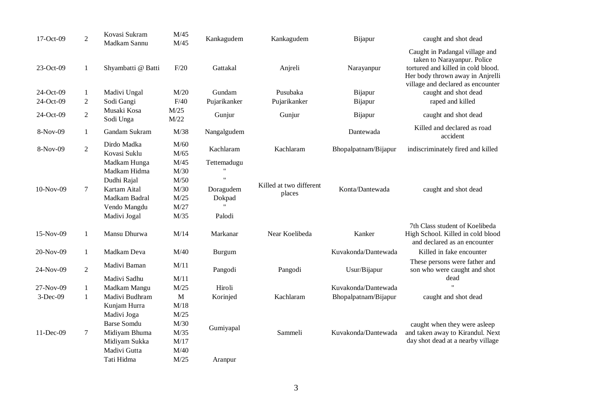| 17-Oct-09                           | $\overline{2}$                                 | Kovasi Sukram<br>Madkam Sannu                                                                                | M/45<br>M/45                                                 | Kankagudem                                   | Kankagudem                          | Bijapur                          | caught and shot dead                                                                                                                                                                                                     |
|-------------------------------------|------------------------------------------------|--------------------------------------------------------------------------------------------------------------|--------------------------------------------------------------|----------------------------------------------|-------------------------------------|----------------------------------|--------------------------------------------------------------------------------------------------------------------------------------------------------------------------------------------------------------------------|
| 23-Oct-09<br>24-Oct-09<br>24-Oct-09 | $\mathbf{1}$<br>$\mathbf{1}$<br>$\overline{c}$ | Shyambatti @ Batti<br>Madivi Ungal<br>Sodi Gangi                                                             | F/20<br>M/20<br>F/40                                         | Gattakal<br>Gundam<br>Pujarikanker           | Anjreli<br>Pusubaka<br>Pujarikanker | Narayanpur<br>Bijapur<br>Bijapur | Caught in Padangal village and<br>taken to Narayanpur. Police<br>tortured and killed in cold blood.<br>Her body thrown away in Anjrelli<br>village and declared as encounter<br>caught and shot dead<br>raped and killed |
| 24-Oct-09                           |                                                | Musaki Kosa                                                                                                  | M/25                                                         |                                              |                                     |                                  |                                                                                                                                                                                                                          |
|                                     | $\mathfrak{2}$                                 | Sodi Unga                                                                                                    | M/22                                                         | Gunjur                                       | Gunjur                              | Bijapur                          | caught and shot dead                                                                                                                                                                                                     |
| 8-Nov-09                            | $\mathbf{1}$                                   | Gandam Sukram                                                                                                | M/38                                                         | Nangalgudem                                  |                                     | Dantewada                        | Killed and declared as road<br>accident                                                                                                                                                                                  |
| 8-Nov-09                            | $\overline{2}$                                 | Dirdo Madka<br>Kovasi Suklu                                                                                  | M/60                                                         | Kachlaram                                    | Kachlaram                           | Bhopalpatnam/Bijapur             | indiscriminately fired and killed                                                                                                                                                                                        |
| 10-Nov-09                           | $\tau$                                         | Madkam Hunga<br>Madkam Hidma<br>Dudhi Rajal<br>Kartam Aital<br>Madkam Badral<br>Vendo Mangdu<br>Madivi Jogal | M/65<br>M/45<br>M/30<br>M/50<br>M/30<br>M/25<br>M/27<br>M/35 | Tettemadugu<br>Doragudem<br>Dokpad<br>Palodi | Killed at two different<br>places   | Konta/Dantewada                  | caught and shot dead                                                                                                                                                                                                     |
| 15-Nov-09                           | $\mathbf{1}$                                   | Mansu Dhurwa                                                                                                 | M/14                                                         | Markanar                                     | Near Koelibeda                      | Kanker                           | 7th Class student of Koelibeda<br>High School. Killed in cold blood<br>and declared as an encounter                                                                                                                      |
| 20-Nov-09                           | $\mathbf{1}$                                   | Madkam Deva                                                                                                  | M/40                                                         | Burgum                                       |                                     | Kuvakonda/Dantewada              | Killed in fake encounter                                                                                                                                                                                                 |
| 24-Nov-09                           | $\overline{2}$                                 | Madivi Baman                                                                                                 | M/11                                                         | Pangodi                                      | Pangodi                             | Usur/Bijapur                     | These persons were father and<br>son who were caught and shot                                                                                                                                                            |
| 27-Nov-09                           |                                                | Madivi Sadhu<br>Madkam Mangu                                                                                 | M/11<br>M/25                                                 | Hiroli                                       |                                     | Kuvakonda/Dantewada              | dead                                                                                                                                                                                                                     |
| $3-Dec-09$                          | $\mathbf{1}$                                   | Madivi Budhram                                                                                               | $\mathbf M$                                                  |                                              | Kachlaram                           |                                  |                                                                                                                                                                                                                          |
|                                     | $\mathbf{1}$                                   | Kunjam Hurra<br>Madivi Joga<br>Barse Somdu                                                                   | M/18<br>M/25<br>M/30                                         | Korinjed                                     |                                     | Bhopalpatnam/Bijapur             | caught and shot dead<br>caught when they were asleep                                                                                                                                                                     |
| 11-Dec-09                           | $\boldsymbol{7}$                               | Midiyam Bhuma<br>Midiyam Sukka<br>Madivi Gutta<br>Tati Hidma                                                 | M/35<br>M/17<br>M/40<br>M/25                                 | Gumiyapal<br>Aranpur                         | Sammeli                             | Kuvakonda/Dantewada              | and taken away to Kirandul. Next<br>day shot dead at a nearby village                                                                                                                                                    |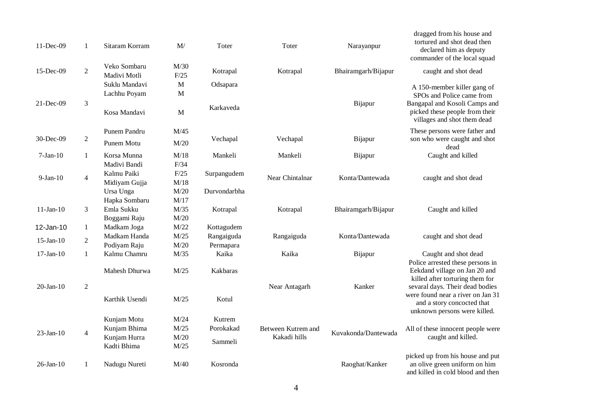| 11-Dec-09       | 1              | Sitaram Korram               | M/                          | Toter        | Toter              | Narayanpur          | dragged from his house and<br>tortured and shot dead then<br>declared him as deputy<br>commander of the local squad         |
|-----------------|----------------|------------------------------|-----------------------------|--------------|--------------------|---------------------|-----------------------------------------------------------------------------------------------------------------------------|
| 15-Dec-09       | $\overline{2}$ | Veko Sombaru<br>Madivi Motli | M/30<br>F/25                | Kotrapal     | Kotrapal           | Bhairamgarh/Bijapur | caught and shot dead                                                                                                        |
|                 |                |                              |                             |              |                    |                     |                                                                                                                             |
|                 |                | Suklu Mandavi                | $\mathbf{M}$                | Odsapara     |                    |                     | A 150-member killer gang of                                                                                                 |
| 21-Dec-09       | 3              | Lachhu Poyam<br>Kosa Mandavi | $\mathbf M$<br>$\mathbf{M}$ | Karkaveda    |                    | Bijapur             | SPOs and Police came from<br>Bangapal and Kosoli Camps and<br>picked these people from their<br>villages and shot them dead |
|                 |                | Punem Pandru                 | M/45                        |              |                    |                     | These persons were father and                                                                                               |
| 30-Dec-09       | $\overline{2}$ | Punem Motu                   | M/20                        | Vechapal     | Vechapal           | Bijapur             | son who were caught and shot<br>dead                                                                                        |
| $7-Jan-10$      | $\mathbf{1}$   | Korsa Munna                  | M/18                        | Mankeli      | Mankeli            | Bijapur             | Caught and killed                                                                                                           |
|                 |                | Madivi Bandi                 | F/34                        |              |                    |                     |                                                                                                                             |
| $9-Jan-10$      |                | Kalmu Paiki                  | F/25                        | Surpangudem  | Near Chintalnar    | Konta/Dantewada     |                                                                                                                             |
|                 | $\overline{4}$ | Midiyam Gujja                | M/18                        |              |                    |                     | caught and shot dead                                                                                                        |
|                 |                | Ursa Unga                    | M/20                        | Durvondarbha |                    |                     |                                                                                                                             |
|                 |                | Hapka Sombaru                | M/17                        |              |                    |                     |                                                                                                                             |
| $11-Jan-10$     | 3              | Emla Sukku                   | M/35                        | Kotrapal     | Kotrapal           | Bhairamgarh/Bijapur | Caught and killed                                                                                                           |
|                 |                | Boggami Raju                 | $\rm M/20$                  |              |                    |                     |                                                                                                                             |
| 12-Jan-10       | $\mathbf{1}$   | Madkam Joga                  | M/22                        | Kottagudem   |                    |                     |                                                                                                                             |
|                 |                | Madkam Handa                 | M/25                        | Rangaiguda   | Rangaiguda         | Konta/Dantewada     | caught and shot dead                                                                                                        |
| $15$ -Jan- $10$ | $\overline{2}$ | Podiyam Raju                 | M/20                        | Permapara    |                    |                     |                                                                                                                             |
| $17$ -Jan- $10$ | $\mathbf{1}$   | Kalmu Chamru                 | M/35                        | Kaika        | Kaika              | Bijapur             | Caught and shot dead                                                                                                        |
|                 |                | Mahesh Dhurwa                | M/25                        | Kakbaras     |                    |                     | Police arrested these persons in<br>Eekdand village on Jan 20 and<br>killed after torturing them for                        |
| $20$ -Jan- $10$ | $\overline{2}$ |                              |                             |              | Near Antagarh      | Kanker              | sevaral days. Their dead bodies                                                                                             |
|                 |                | Karthik Usendi               | M/25                        | Kotul        |                    |                     | were found near a river on Jan 31<br>and a story concocted that<br>unknown persons were killed.                             |
|                 |                | Kunjam Motu                  | M/24                        | Kutrem       |                    |                     |                                                                                                                             |
| $23$ -Jan-10    | $\overline{4}$ | Kunjam Bhima                 | M/25                        | Porokakad    | Between Kutrem and | Kuvakonda/Dantewada | All of these innocent people were                                                                                           |
|                 |                | Kunjam Hurra                 | M/20                        | Sammeli      | Kakadi hills       |                     | caught and killed.                                                                                                          |
|                 |                | Kadti Bhima                  | M/25                        |              |                    |                     |                                                                                                                             |
| $26$ -Jan- $10$ | 1              | Nadugu Nureti                | M/40                        | Kosronda     |                    | Raoghat/Kanker      | picked up from his house and put<br>an olive green uniform on him<br>and killed in cold blood and then                      |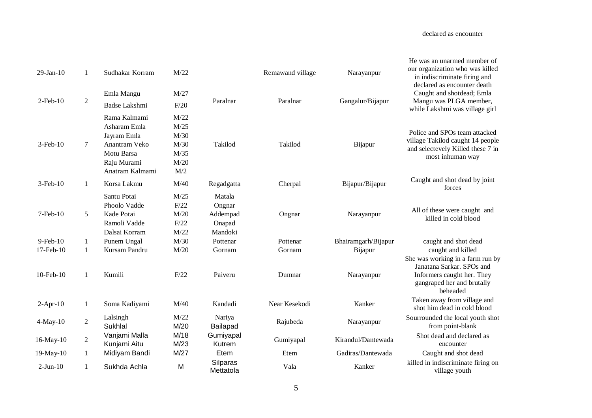| $29$ -Jan- $10$ | -1             | Sudhakar Korram                                                                                              | M/22                                                |                                                   | Remawand village | Narayanpur          | He was an unarmed member of<br>our organization who was killed<br>in indiscriminate firing and<br>declared as encounter death         |
|-----------------|----------------|--------------------------------------------------------------------------------------------------------------|-----------------------------------------------------|---------------------------------------------------|------------------|---------------------|---------------------------------------------------------------------------------------------------------------------------------------|
|                 |                | Emla Mangu                                                                                                   | M/27                                                |                                                   |                  |                     | Caught and shotdead; Emla                                                                                                             |
| $2$ -Feb- $10$  | $\sqrt{2}$     | Badse Lakshmi                                                                                                | F/20                                                | Paralnar                                          | Paralnar         | Gangalur/Bijapur    | Mangu was PLGA member,<br>while Lakshmi was village girl                                                                              |
| $3$ -Feb- $10$  | 7              | Rama Kalmami<br>Asharam Emla<br>Jayram Emla<br>Anantram Veko<br>Motu Barsa<br>Raju Murami<br>Anatram Kalmami | M/22<br>M/25<br>M/30<br>M/30<br>M/35<br>M/20<br>M/2 | Takilod                                           | Takilod          | Bijapur             | Police and SPOs team attacked<br>village Takilod caught 14 people<br>and selectevely Killed these 7 in<br>most inhuman way            |
| $3$ -Feb- $10$  | $\mathbf{1}$   | Korsa Lakmu                                                                                                  | M/40                                                | Regadgatta                                        | Cherpal          | Bijapur/Bijapur     | Caught and shot dead by joint<br>forces                                                                                               |
| 7-Feb-10        | 5              | Santu Potai<br>Phoolo Vadde<br>Kade Potai<br>Ramoli Vadde<br>Dalsai Korram                                   | M/25<br>F/22<br>M/20<br>F/22<br>M/22                | Matala<br>Ongnar<br>Addempad<br>Onapad<br>Mandoki | Ongnar           | Narayanpur          | All of these were caught and<br>killed in cold blood                                                                                  |
| 9-Feb-10        | $\mathbf{1}$   | Punem Ungal                                                                                                  | M/30                                                | Pottenar                                          | Pottenar         | Bhairamgarh/Bijapur | caught and shot dead                                                                                                                  |
| 17-Feb-10       | $\mathbf{1}$   | Kursam Pandru                                                                                                | M/20                                                | Gornam                                            | Gornam           | Bijapur             | caught and killed                                                                                                                     |
| 10-Feb-10       | 1              | Kumili                                                                                                       | F/22                                                | Paiveru                                           | Dumnar           | Narayanpur          | She was working in a farm run by<br>Janatana Sarkar. SPOs and<br>Informers caught her. They<br>gangraped her and brutally<br>beheaded |
| $2-Apr-10$      | $\mathbf{1}$   | Soma Kadiyami                                                                                                | M/40                                                | Kandadi                                           | Near Kesekodi    | Kanker              | Taken away from village and<br>shot him dead in cold blood                                                                            |
| $4-May-10$      | $\overline{2}$ | Lalsingh<br>Sukhlal                                                                                          | M/22<br>M/20                                        | Nariya<br>Bailapad                                | Rajubeda         | Narayanpur          | Sourrounded the local youth shot<br>from point-blank                                                                                  |
| 16-May-10       | $\overline{2}$ | Vanjami Malla<br>Kunjami Aitu                                                                                | M/18<br>M/23                                        | Gumiyapal<br>Kutrem                               | Gumiyapal        | Kirandul/Dantewada  | Shot dead and declared as<br>encounter                                                                                                |
| 19-May-10       | $\mathbf{1}$   | Midiyam Bandi                                                                                                | M/27                                                | Etem                                              | Etem             | Gadiras/Dantewada   | Caught and shot dead                                                                                                                  |
| $2-Jun-10$      | $\mathbf{1}$   | Sukhda Achla                                                                                                 | M                                                   | Silparas<br>Mettatola                             | Vala             | Kanker              | killed in indiscriminate firing on<br>village youth                                                                                   |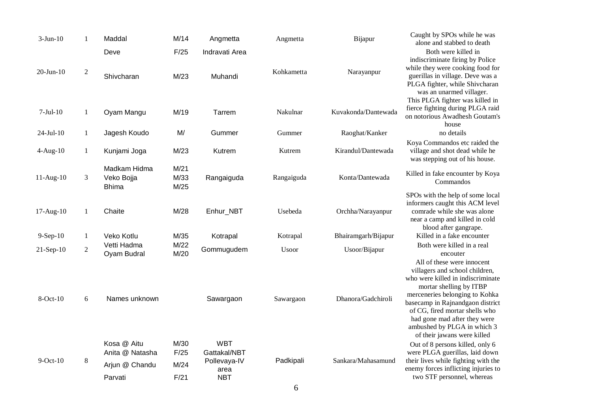| $3-Jun-10$      | $\mathbf{1}$ | Maddal                                                      | M/14                         | Angmetta                                                         | Angmetta     | Bijapur             | Caught by SPOs while he was<br>alone and stabbed to death                                                                                                                                                                                                                                                                          |
|-----------------|--------------|-------------------------------------------------------------|------------------------------|------------------------------------------------------------------|--------------|---------------------|------------------------------------------------------------------------------------------------------------------------------------------------------------------------------------------------------------------------------------------------------------------------------------------------------------------------------------|
|                 |              | Deve                                                        | F/25                         | Indravati Area                                                   |              |                     | Both were killed in                                                                                                                                                                                                                                                                                                                |
| $20 - Jun - 10$ | $\sqrt{2}$   | Shivcharan                                                  | M/23                         | Muhandi                                                          | Kohkametta   | Narayanpur          | indiscriminate firing by Police<br>while they were cooking food for<br>guerillas in village. Deve was a<br>PLGA fighter, while Shivcharan<br>was an unarmed villager.                                                                                                                                                              |
| $7-Jul-10$      | $\mathbf{1}$ | Oyam Mangu                                                  | M/19                         | Tarrem                                                           | Nakulnar     | Kuvakonda/Dantewada | This PLGA fighter was killed in<br>fierce fighting during PLGA raid<br>on notorious Awadhesh Goutam's<br>house                                                                                                                                                                                                                     |
| $24-Jul-10$     | $\mathbf{1}$ | Jagesh Koudo                                                | M/                           | Gummer                                                           | Gummer       | Raoghat/Kanker      | no details                                                                                                                                                                                                                                                                                                                         |
| $4-Aug-10$      | $\mathbf{1}$ | Kunjami Joga                                                | M/23                         | Kutrem                                                           | Kutrem       | Kirandul/Dantewada  | Koya Commandos etc raided the<br>village and shot dead while he<br>was stepping out of his house.                                                                                                                                                                                                                                  |
| $11-Aug-10$     | 3            | Madkam Hidma<br>Veko Bojja<br><b>Bhima</b>                  | M/21<br>M/33<br>M/25         | Rangaiguda                                                       | Rangaiguda   | Konta/Dantewada     | Killed in fake encounter by Koya<br>Commandos                                                                                                                                                                                                                                                                                      |
| 17-Aug-10       | $\mathbf{1}$ | Chaite                                                      | M/28                         | Enhur_NBT                                                        | Usebeda      | Orchha/Narayanpur   | SPOs with the help of some local<br>informers caught this ACM level<br>comrade while she was alone<br>near a camp and killed in cold<br>blood after gangrape.                                                                                                                                                                      |
| 9-Sep-10        | $\mathbf{1}$ | Veko Kotlu                                                  | M/35                         | Kotrapal                                                         | Kotrapal     | Bhairamgarh/Bijapur | Killed in a fake encounter                                                                                                                                                                                                                                                                                                         |
| 21-Sep-10       | $\sqrt{2}$   | Vetti Hadma<br>Oyam Budral                                  | M/22<br>M/20                 | Gommugudem                                                       | <b>Usoor</b> | Usoor/Bijapur       | Both were killed in a real<br>encouter                                                                                                                                                                                                                                                                                             |
| 8-Oct-10        | 6            | Names unknown                                               |                              | Sawargaon                                                        | Sawargaon    | Dhanora/Gadchiroli  | All of these were innocent<br>villagers and school children,<br>who were killed in indiscriminate<br>mortar shelling by ITBP<br>merceneries belonging to Kohka<br>basecamp in Rajnandgaon district<br>of CG, fired mortar shells who<br>had gone mad after they were<br>ambushed by PLGA in which 3<br>of their jawans were killed |
| $9$ -Oct- $10$  | $\,8\,$      | Kosa @ Aitu<br>Anita @ Natasha<br>Arjun @ Chandu<br>Parvati | M/30<br>F/25<br>M/24<br>F/21 | <b>WBT</b><br>Gattakal/NBT<br>Pollevaya-IV<br>area<br><b>NBT</b> | Padkipali    | Sankara/Mahasamund  | Out of 8 persons killed, only 6<br>were PLGA guerillas, laid down<br>their lives while fighting with the<br>enemy forces inflicting injuries to<br>two STF personnel, whereas                                                                                                                                                      |